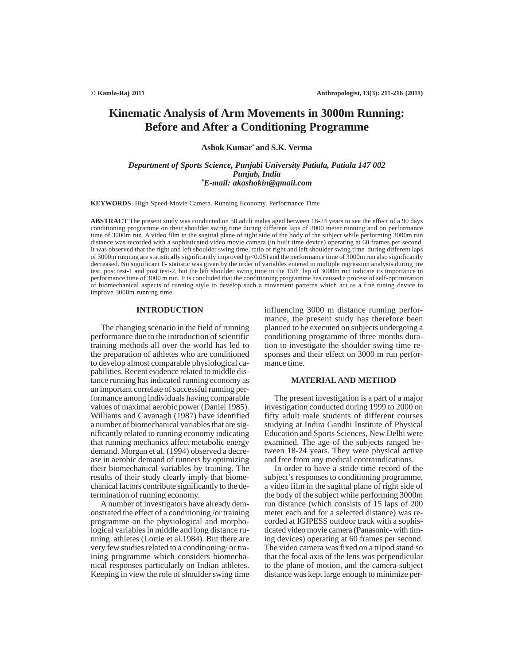# **Kinematic Analysis of Arm Movements in 3000m Running: Before and After a Conditioning Programme**

**Ashok Kumar\* and S.K. Verma**

*Department of Sports Science, Punjabi University Patiala, Patiala 147 002 Punjab, India \*E-mail: akashokin@gmail.com*

**KEYWORDS** High Speed-Movie Camera. Running Economy. Performance Time

**ABSTRACT** The present study was conducted on 50 adult males aged between 18-24 years to see the effect of a 90 days conditioning programme on their shoulder swing time during different laps of 3000 meter running and on performance time of 3000m run. A video film in the sagittal plane of right side of the body of the subject while performing 3000m run distance was recorded with a sophisticated video movie camera (in built time device) operating at 60 frames per second. It was observed that the right and left shoulder swing time, ratio of right and left shoulder swing time during different laps of 3000m running are statistically significantly improved (p<0.05) and the performance time of 3000m run also significantly decreased. No significant F- statistic was given by the order of variables entered in multiple regression analysis during pre test, post test-1 and post test-2, but the left shoulder swing time in the 15th lap of 3000m run indicate its importance in performance time of 3000 m run. It is concluded that the conditioning programme has caused a process of self-optimization of biomechanical aspects of running style to develop such a movement patterns which act as a fine tuning device to improve 3000m running time.

## **INTRODUCTION**

The changing scenario in the field of running performance due to the introduction of scientific training methods all over the world has led to the preparation of athletes who are conditioned to develop almost comparable physiological capabilities. Recent evidence related to middle distance running has indicated running economy as an important correlate of successful running performance among individuals having comparable values of maximal aerobic power (Daniel 1985). Williams and Cavanagh (1987) have identified a number of biomechanical variables that are significantly related to running economy indicating that running mechanics affect metabolic energy demand. Morgan et al. (1994) observed a decrease in aerobic demand of runners by optimizing their biomechanical variables by training. The results of their study clearly imply that biomechanical factors contribute significantly to the determination of running economy.

A number of investigators have already demonstrated the effect of a conditioning /or training programme on the physiological and morphological variables in middle and long distance running athletes (Lortie et al.1984). But there are very few studies related to a conditioning/ or training programme which considers biomechanical responses particularly on Indian athletes. Keeping in view the role of shoulder swing time influencing 3000 m distance running performance, the present study has therefore been planned to be executed on subjects undergoing a conditioning programme of three months duration to investigate the shoulder swing time responses and their effect on 3000 m run performance time.

## **MATERIALAND METHOD**

The present investigation is a part of a major investigation conducted during 1999 to 2000 on fifty adult male students of different courses studying at Indira Gandhi Institute of Physical Education and Sports Sciences, New Delhi were examined. The age of the subjects ranged between 18-24 years. They were physical active and free from any medical contraindications.

In order to have a stride time record of the subject's responses to conditioning programme, a video film in the sagittal plane of right side of the body of the subject while performing 3000m run distance (which consists of 15 laps of 200 meter each and for a selected distance) was recorded at IGIPESS outdoor track with a sophisticated video movie camera (Panasonic- with timing devices) operating at 60 frames per second. The video camera was fixed on a tripod stand so that the focal axis of the lens was perpendicular to the plane of motion, and the camera-subject distance was kept large enough to minimize per-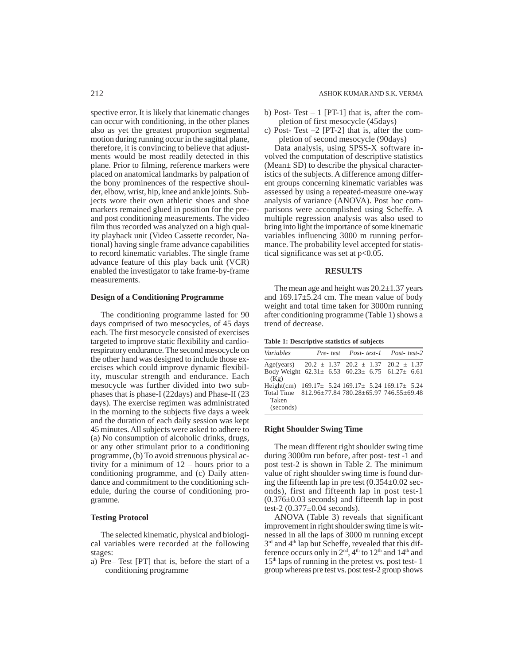spective error. It is likely that kinematic changes can occur with conditioning, in the other planes also as yet the greatest proportion segmental motion during running occur in the sagittal plane, therefore, it is convincing to believe that adjustments would be most readily detected in this plane. Prior to filming, reference markers were placed on anatomical landmarks by palpation of the bony prominences of the respective shoulder, elbow, wrist, hip, knee and ankle joints. Subjects wore their own athletic shoes and shoe markers remained glued in position for the preand post conditioning measurements. The video film thus recorded was analyzed on a high quality playback unit (Video Cassette recorder, National) having single frame advance capabilities to record kinematic variables. The single frame advance feature of this play back unit (VCR) enabled the investigator to take frame-by-frame measurements.

## **Design of a Conditioning Programme**

The conditioning programme lasted for 90 days comprised of two mesocycles, of 45 days each. The first mesocycle consisted of exercises targeted to improve static flexibility and cardiorespiratory endurance. The second mesocycle on the other hand was designed to include those exercises which could improve dynamic flexibility, muscular strength and endurance. Each mesocycle was further divided into two subphases that is phase-I (22days) and Phase-II (23 days). The exercise regimen was administrated in the morning to the subjects five days a week and the duration of each daily session was kept 45 minutes. All subjects were asked to adhere to (a) No consumption of alcoholic drinks, drugs, or any other stimulant prior to a conditioning programme, (b) To avoid strenuous physical activity for a minimum of 12 – hours prior to a conditioning programme, and (c) Daily attendance and commitment to the conditioning schedule, during the course of conditioning programme.

#### **Testing Protocol**

The selected kinematic, physical and biological variables were recorded at the following stages:

a) Pre– Test [PT] that is, before the start of a conditioning programme

- b) Post- Test 1 [PT-1] that is, after the completion of first mesocycle (45days)
- c) Post- Test –2 [PT-2] that is, after the completion of second mesocycle (90days)

Data analysis, using SPSS-X software involved the computation of descriptive statistics (Mean± SD) to describe the physical characteristics of the subjects. A difference among different groups concerning kinematic variables was assessed by using a repeated-measure one-way analysis of variance (ANOVA). Post hoc comparisons were accomplished using Scheffe. A multiple regression analysis was also used to bring into light the importance of some kinematic variables influencing 3000 m running performance. The probability level accepted for statistical significance was set at  $p<0.05$ .

#### **RESULTS**

The mean age and height was  $20.2 \pm 1.37$  years and 169.17±5.24 cm. The mean value of body weight and total time taken for 3000m running after conditioning programme (Table 1) shows a trend of decrease.

| Table 1: Descriptive statistics of subjects |  |  |
|---------------------------------------------|--|--|
|---------------------------------------------|--|--|

| Variables                                                      |                                           |  | Pre-test Post-test-1 Post-test-2 |  |
|----------------------------------------------------------------|-------------------------------------------|--|----------------------------------|--|
| Age(years) $20.2 \pm 1.37$ $20.2 \pm 1.37$ $20.2 \pm 1.37$     |                                           |  |                                  |  |
| Body Weight $62.31 \pm 6.53$ $60.23 \pm 6.75$ $61.27 \pm 6.61$ |                                           |  |                                  |  |
| (Kg)                                                           |                                           |  |                                  |  |
| Height(cm)                                                     | 169.17 ± 5.24 169.17 ± 5.24 169.17 ± 5.24 |  |                                  |  |
| Total Time 812.96±77.84 780.28±65.97 746.55±69.48              |                                           |  |                                  |  |
| Taken                                                          |                                           |  |                                  |  |
| (seconds)                                                      |                                           |  |                                  |  |

## **Right Shoulder Swing Time**

The mean different right shoulder swing time during 3000m run before, after post- test -1 and post test-2 is shown in Table 2. The minimum value of right shoulder swing time is found during the fifteenth lap in pre test  $(0.354\pm0.02$  seconds), first and fifteenth lap in post test-1 (0.376±0.03 seconds) and fifteenth lap in post test-2 (0.377±0.04 seconds).

ANOVA (Table 3) reveals that significant improvement in right shoulder swing time is witnessed in all the laps of 3000 m running except 3<sup>rd</sup> and 4<sup>th</sup> lap but Scheffe, revealed that this difference occurs only in 2<sup>nd</sup>, 4<sup>th</sup> to 12<sup>th</sup> and 14<sup>th</sup> and 15th laps of running in the pretest vs. post test- 1 group whereas pre test vs. post test-2 group shows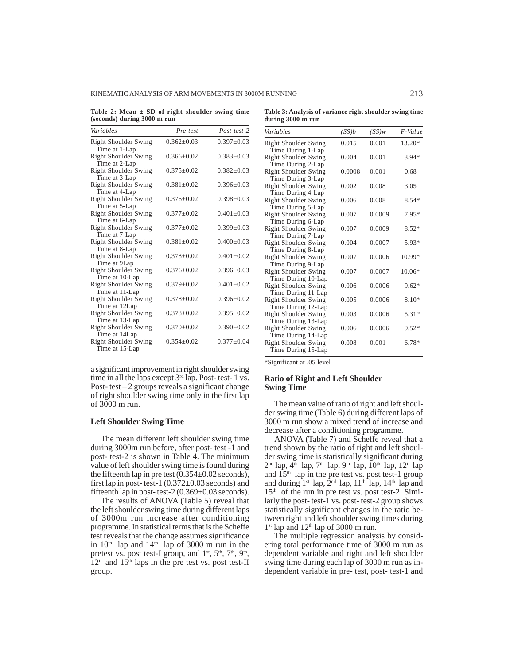KINEMATIC ANALYSIS OF ARM MOVEMENTS IN 3000M RUNNING 213

**Table 2: Mean ± SD of right shoulder swing time (seconds) during 3000 m run**

| Variables                                     | Pre-test         | $Post-test-2$    |
|-----------------------------------------------|------------------|------------------|
| Right Shoulder Swing<br>Time at 1-Lap         | $0.362 + 0.03$   | $0.397+0.03$     |
| Right Shoulder Swing<br>Time at 2-Lap         | $0.366 + 0.02$   | $0.383 \pm 0.03$ |
| <b>Right Shoulder Swing</b><br>Time at 3-Lap  | $0.375 + 0.02$   | $0.382 + 0.03$   |
| Right Shoulder Swing<br>Time at 4-Lap         | $0.381 + 0.02$   | $0.396 + 0.03$   |
| Right Shoulder Swing<br>Time at 5-Lap         | $0.376 + 0.02$   | $0.398 \pm 0.03$ |
| <b>Right Shoulder Swing</b><br>Time at 6-Lap  | $0.377 \pm 0.02$ | $0.401 \pm 0.03$ |
| Right Shoulder Swing<br>Time at 7-Lap         | $0.377 + 0.02$   | $0.399 + 0.03$   |
| Right Shoulder Swing<br>Time at 8-Lap         | $0.381 + 0.02$   | $0.400 \pm 0.03$ |
| <b>Right Shoulder Swing</b><br>Time at 9Lap   | $0.378 + 0.02$   | $0.401 + 0.02$   |
| <b>Right Shoulder Swing</b><br>Time at 10-Lap | $0.376 + 0.02$   | $0.396 + 0.03$   |
| <b>Right Shoulder Swing</b><br>Time at 11-Lap | $0.379 + 0.02$   | $0.401 + 0.02$   |
| <b>Right Shoulder Swing</b><br>Time at 12Lap  | $0.378 + 0.02$   | $0.396 \pm 0.02$ |
| Right Shoulder Swing<br>Time at 13-Lap        | $0.378 + 0.02$   | $0.395 \pm 0.02$ |
| <b>Right Shoulder Swing</b><br>Time at 14Lap  | $0.370 \pm 0.02$ | $0.390 \pm 0.02$ |
| Right Shoulder Swing<br>Time at 15-Lap        | $0.354 + 0.02$   | $0.377+0.04$     |

a significant improvement in right shoulder swing time in all the laps except 3<sup>rd</sup> lap. Post- test- 1 vs. Post- $test - 2$  groups reveals a significant change of right shoulder swing time only in the first lap of 3000 m run.

## **Left Shoulder Swing Time**

The mean different left shoulder swing time during 3000m run before, after post- test -1 and post- test-2 is shown in Table 4. The minimum value of left shoulder swing time is found during the fifteenth lap in pre test  $(0.354 \pm 0.02$  seconds), first lap in post- test-1  $(0.372 \pm 0.03$  seconds) and fifteenth lap in post- test-2  $(0.369 \pm 0.03$  seconds).

The results of ANOVA (Table 5) reveal that the left shoulder swing time during different laps of 3000m run increase after conditioning programme. In statistical terms that is the Scheffe test reveals that the change assumes significance in  $10<sup>th</sup>$  lap and  $14<sup>th</sup>$  lap of 3000 m run in the pretest vs. post test-I group, and  $1<sup>st</sup>$ ,  $5<sup>th</sup>$ ,  $7<sup>th</sup>$ ,  $9<sup>th</sup>$ ,  $12<sup>th</sup>$  and  $15<sup>th</sup>$  laps in the pre test vs. post test-II group.

| Table 3: Analysis of variance right shoulder swing time<br>during 3000 m run |                            |                                          |           |
|------------------------------------------------------------------------------|----------------------------|------------------------------------------|-----------|
| Variables                                                                    | $(\mathcal{C}\mathcal{C})$ | $(\mathcal{C}\mathcal{C})_{\mathcal{W}}$ | $F$ Value |

| Variables                   | (SS)b  | (SS)w  | $F-Value$ |
|-----------------------------|--------|--------|-----------|
| Right Shoulder Swing        | 0.015  | 0.001  | 13.20*    |
| Time During 1-Lap           |        |        |           |
| <b>Right Shoulder Swing</b> | 0.004  | 0.001  | $3.94*$   |
| Time During 2-Lap           |        |        |           |
| <b>Right Shoulder Swing</b> | 0.0008 | 0.001  | 0.68      |
| Time During 3-Lap           |        |        |           |
| Right Shoulder Swing        | 0.002  | 0.008  | 3.05      |
| Time During 4-Lap           |        |        |           |
| <b>Right Shoulder Swing</b> | 0.006  | 0.008  | $8.54*$   |
| Time During 5-Lap           |        |        |           |
| <b>Right Shoulder Swing</b> | 0.007  | 0.0009 | 7.95*     |
| Time During 6-Lap           |        |        |           |
| Right Shoulder Swing        | 0.007  | 0.0009 | $8.52*$   |
| Time During 7-Lap           |        |        |           |
| <b>Right Shoulder Swing</b> | 0.004  | 0.0007 | 5.93*     |
| Time During 8-Lap           |        |        |           |
| <b>Right Shoulder Swing</b> | 0.007  | 0.0006 | 10.99*    |
| Time During 9-Lap           |        |        |           |
| Right Shoulder Swing        | 0.007  | 0.0007 | 10.06*    |
| Time During 10-Lap          |        |        |           |
| <b>Right Shoulder Swing</b> | 0.006  | 0.0006 | $9.62*$   |
| Time During 11-Lap          |        |        |           |
| <b>Right Shoulder Swing</b> | 0.005  | 0.0006 | $8.10*$   |
| Time During 12-Lap          |        |        |           |
| <b>Right Shoulder Swing</b> | 0.003  | 0.0006 | 5.31*     |
| Time During 13-Lap          |        |        |           |
| <b>Right Shoulder Swing</b> | 0.006  | 0.0006 | $9.52*$   |
| Time During 14-Lap          |        |        |           |
| <b>Right Shoulder Swing</b> | 0.008  | 0.001  | $6.78*$   |
| Time During 15-Lap          |        |        |           |

\*Significant at .05 level

## **Ratio of Right and Left Shoulder Swing Time**

The mean value of ratio of right and left shoulder swing time (Table 6) during different laps of 3000 m run show a mixed trend of increase and decrease after a conditioning programme.

ANOVA (Table 7) and Scheffe reveal that a trend shown by the ratio of right and left shoulder swing time is statistically significant during  $2<sup>nd</sup>$  lap, 4<sup>th</sup> lap, 7<sup>th</sup> lap, 9<sup>th</sup> lap, 10<sup>th</sup> lap, 12<sup>th</sup> lap and  $15<sup>th</sup>$  lap in the pre test vs. post test-1 group and during  $1^{st}$  lap,  $2^{nd}$  lap,  $11^{th}$  lap,  $14^{th}$  lap and 15th of the run in pre test vs. post test-2. Similarly the post- test-1 vs. post- test-2 group shows statistically significant changes in the ratio between right and left shoulder swing times during  $1<sup>st</sup>$  lap and  $12<sup>th</sup>$  lap of 3000 m run.

The multiple regression analysis by considering total performance time of 3000 m run as dependent variable and right and left shoulder swing time during each lap of 3000 m run as independent variable in pre- test, post- test-1 and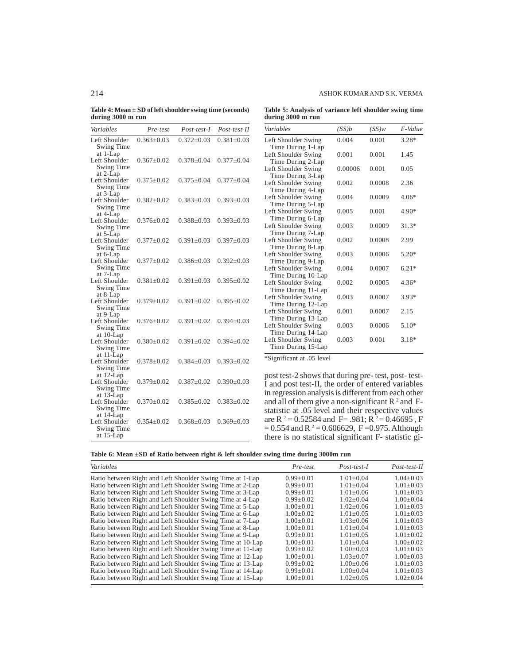**Table 4: Mean ± SD of left shoulder swing time (seconds) during 3000 m run**

| Variables                                             | Pre-test           | Post-test-I      | Post-test-II     |
|-------------------------------------------------------|--------------------|------------------|------------------|
| Left Shoulder<br>Swing Time                           | $0.363 \pm 0.03$   | $0.372 + 0.03$   | $0.381 + 0.03$   |
| at 1-Lap<br>Left Shoulder<br>Swing Time               | $0.367+0.02$       | $0.378 + 0.04$   | $0.377+0.04$     |
| at 2-Lap<br>Left Shoulder<br>Swing Time               | $0.375 \pm 0.02$   | $0.375 \pm 0.04$ | $0.377 \pm 0.04$ |
| at 3-Lap<br>Left Shoulder<br>Swing Time               | $0.382 {\pm} 0.02$ | $0.383 + 0.03$   | $0.393 \pm 0.03$ |
| at 4-Lap<br>Left Shoulder<br>Swing Time               | $0.376 + 0.02$     | $0.388 + 0.03$   | $0.393 + 0.03$   |
| at 5-Lap<br>Left Shoulder<br>Swing Time               | $0.377+0.02$       | $0.391 + 0.03$   | $0.397+0.03$     |
| at 6-Lap<br>Left Shoulder<br><b>Swing Time</b>        | $0.377 + 0.02$     | $0.386 \pm 0.03$ | $0.392 \pm 0.03$ |
| at 7-Lap<br>Left Shoulder<br>Swing Time               | $0.381 + 0.02$     | $0.391 + 0.03$   | $0.395+0.02$     |
| at 8-Lap<br>Left Shoulder<br>Swing Time               | $0.379 + 0.02$     | $0.391 + 0.02$   | $0.395 + 0.02$   |
| at 9-Lap<br>Left Shoulder<br>Swing Time               | $0.376 + 0.02$     | $0.391 + 0.02$   | $0.394 + 0.03$   |
| at $10$ -Lap<br>Left Shoulder<br>Swing Time           | $0.380 {\pm} 0.02$ | $0.391 \pm 0.02$ | $0.394 \pm 0.02$ |
| at 11-Lap<br>Left Shoulder<br>Swing Time              | $0.378 \pm 0.02$   | $0.384 + 0.03$   | $0.393 \pm 0.02$ |
| at 12-Lap<br>Left Shoulder<br>Swing Time              | $0.379 \pm 0.02$   | $0.387+0.02$     | $0.390 + 0.03$   |
| at 13-Lap<br>Left Shoulder<br>Swing Time              | $0.370 \pm 0.02$   | $0.385 \pm 0.02$ | $0.383 \pm 0.02$ |
| at 14-Lap<br>Left Shoulder<br>Swing Time<br>at 15-Lap | $0.354 \pm 0.02$   | $0.368 + 0.03$   | $0.369 + 0.03$   |

| Table 5: Analysis of variance left shoulder swing time |  |  |  |
|--------------------------------------------------------|--|--|--|
| during 3000 m run                                      |  |  |  |

| Variables                                                     | (SS)b   | (SS)w  | F-Value |
|---------------------------------------------------------------|---------|--------|---------|
| Left Shoulder Swing                                           | 0.004   | 0.001  | $3.28*$ |
| Time During 1-Lap<br>Left Shoulder Swing<br>Time During 2-Lap | 0.001   | 0.001  | 1.45    |
| Left Shoulder Swing<br>Time During 3-Lap                      | 0.00006 | 0.001  | 0.05    |
| Left Shoulder Swing<br>Time During 4-Lap                      | 0.002   | 0.0008 | 2.36    |
| Left Shoulder Swing<br>Time During 5-Lap                      | 0.004   | 0.0009 | 4.06*   |
| Left Shoulder Swing<br>Time During 6-Lap                      | 0.005   | 0.001  | 4.90*   |
| Left Shoulder Swing<br>Time During 7-Lap                      | 0.003   | 0.0009 | $31.3*$ |
| Left Shoulder Swing<br>Time During 8-Lap                      | 0.002   | 0.0008 | 2.99    |
| Left Shoulder Swing<br>Time During 9-Lap                      | 0.003   | 0.0006 | $5.20*$ |
| Left Shoulder Swing<br>Time During 10-Lap                     | 0.004   | 0.0007 | $6.21*$ |
| Left Shoulder Swing<br>Time During 11-Lap                     | 0.002   | 0.0005 | $4.36*$ |
| Left Shoulder Swing<br>Time During 12-Lap                     | 0.003   | 0.0007 | $3.93*$ |
| Left Shoulder Swing<br>Time During 13-Lap                     | 0.001   | 0.0007 | 2.15    |
| Left Shoulder Swing<br>Time During 14-Lap                     | 0.003   | 0.0006 | $5.10*$ |
| Left Shoulder Swing<br>Time During 15-Lap                     | 0.003   | 0.001  | $3.18*$ |

\*Significant at .05 level

post test-2 shows that during pre- test, post- test-I and post test-II, the order of entered variables in regression analysis is different from each other and all of them give a non-significant  $R^2$  and Fstatistic at .05 level and their respective values are R<sup>2</sup> = 0.52584 and F= .981; R<sup>2</sup> = 0.46695, F  $= 0.554$  and R<sup>2</sup> $= 0.606629$ , F=0.975. Although there is no statistical significant F- statistic gi-

**Table 6: Mean ±SD of Ratio between right & left shoulder swing time during 3000m run**

| Variables                                                  | Pre-test        | Post-test-I     | Post-test-II    |
|------------------------------------------------------------|-----------------|-----------------|-----------------|
| Ratio between Right and Left Shoulder Swing Time at 1-Lap  | $0.99 + 0.01$   | $1.01 + 0.04$   | $1.04 \pm 0.03$ |
| Ratio between Right and Left Shoulder Swing Time at 2-Lap  | $0.99 \pm 0.01$ | $1.01 \pm 0.04$ | $1.01 \pm 0.03$ |
| Ratio between Right and Left Shoulder Swing Time at 3-Lap  | $0.99 + 0.01$   | $1.01 + 0.06$   | $1.01 + 0.03$   |
| Ratio between Right and Left Shoulder Swing Time at 4-Lap  | $0.99 + 0.02$   | $1.02+0.04$     | $1.00+0.04$     |
| Ratio between Right and Left Shoulder Swing Time at 5-Lap  | $1.00 \pm 0.01$ | $1.02+0.06$     | $1.01 \pm 0.03$ |
| Ratio between Right and Left Shoulder Swing Time at 6-Lap  | $1.00+0.02$     | $1.01 + 0.05$   | $1.01 + 0.03$   |
| Ratio between Right and Left Shoulder Swing Time at 7-Lap  | $1.00+0.01$     | $1.03 + 0.06$   | $1.01 + 0.03$   |
| Ratio between Right and Left Shoulder Swing Time at 8-Lap  | $1.00 \pm 0.01$ | $1.01 + 0.04$   | $1.01 \pm 0.03$ |
| Ratio between Right and Left Shoulder Swing Time at 9-Lap  | $0.99 \pm 0.01$ | $1.01 + 0.05$   | $1.01 \pm 0.02$ |
| Ratio between Right and Left Shoulder Swing Time at 10-Lap | $1.00 \pm 0.01$ | $1.01 + 0.04$   | $1.00 \pm 0.02$ |
| Ratio between Right and Left Shoulder Swing Time at 11-Lap | $0.99 \pm 0.02$ | $1.00+0.03$     | $1.01 \pm 0.03$ |
| Ratio between Right and Left Shoulder Swing Time at 12-Lap | $1.00+0.01$     | $1.03+0.07$     | $1.00+0.03$     |
| Ratio between Right and Left Shoulder Swing Time at 13-Lap | $0.99 + 0.02$   | $1.00+0.06$     | $1.01 + 0.03$   |
| Ratio between Right and Left Shoulder Swing Time at 14-Lap | $0.99 \pm 0.01$ | $1.00 \pm 0.04$ | $1.01 \pm 0.03$ |
| Ratio between Right and Left Shoulder Swing Time at 15-Lap | $1.00+0.01$     | $1.02 \pm 0.05$ | $1.02+0.04$     |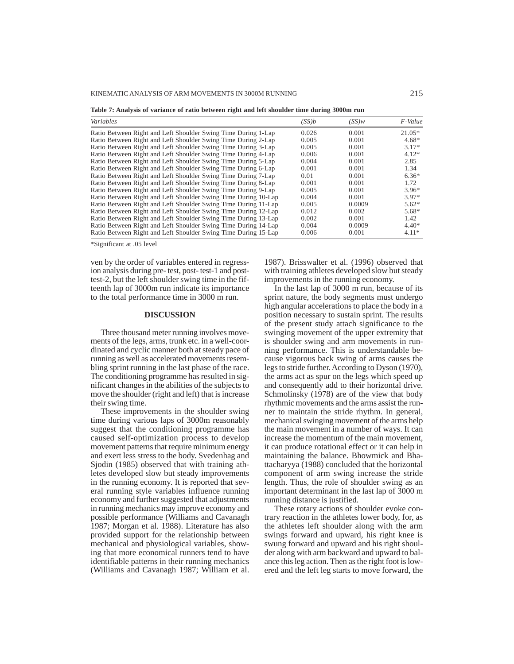KINEMATIC ANALYSIS OF ARM MOVEMENTS IN 3000M RUNNING 215

**Table 7: Analysis of variance of ratio between right and left shoulder time during 3000m run**

| Variables                                                      | (SS)b | (SS)w  | F-Value  |
|----------------------------------------------------------------|-------|--------|----------|
| Ratio Between Right and Left Shoulder Swing Time During 1-Lap  | 0.026 | 0.001  | $21.05*$ |
| Ratio Between Right and Left Shoulder Swing Time During 2-Lap  | 0.005 | 0.001  | $4.68*$  |
| Ratio Between Right and Left Shoulder Swing Time During 3-Lap  | 0.005 | 0.001  | $3.17*$  |
| Ratio Between Right and Left Shoulder Swing Time During 4-Lap  | 0.006 | 0.001  | $4.12*$  |
| Ratio Between Right and Left Shoulder Swing Time During 5-Lap  | 0.004 | 0.001  | 2.85     |
| Ratio Between Right and Left Shoulder Swing Time During 6-Lap  | 0.001 | 0.001  | 1.34     |
| Ratio Between Right and Left Shoulder Swing Time During 7-Lap  | 0.01  | 0.001  | $6.36*$  |
| Ratio Between Right and Left Shoulder Swing Time During 8-Lap  | 0.001 | 0.001  | 1.72     |
| Ratio Between Right and Left Shoulder Swing Time During 9-Lap  | 0.005 | 0.001  | $3.96*$  |
| Ratio Between Right and Left Shoulder Swing Time During 10-Lap | 0.004 | 0.001  | $3.97*$  |
| Ratio Between Right and Left Shoulder Swing Time During 11-Lap | 0.005 | 0.0009 | $5.62*$  |
| Ratio Between Right and Left Shoulder Swing Time During 12-Lap | 0.012 | 0.002  | $5.68*$  |
| Ratio Between Right and Left Shoulder Swing Time During 13-Lap | 0.002 | 0.001  | 1.42     |
| Ratio Between Right and Left Shoulder Swing Time During 14-Lap | 0.004 | 0.0009 | $4.40*$  |
| Ratio Between Right and Left Shoulder Swing Time During 15-Lap | 0.006 | 0.001  | $4.11*$  |

\*Significant at .05 level

ven by the order of variables entered in regression analysis during pre- test, post- test-1 and posttest-2, but the left shoulder swing time in the fifteenth lap of 3000m run indicate its importance to the total performance time in 3000 m run.

#### **DISCUSSION**

Three thousand meter running involves movements of the legs, arms, trunk etc. in a well-coordinated and cyclic manner both at steady pace of running as well as accelerated movements resembling sprint running in the last phase of the race. The conditioning programme has resulted in significant changes in the abilities of the subjects to move the shoulder (right and left) that is increase their swing time.

These improvements in the shoulder swing time during various laps of 3000m reasonably suggest that the conditioning programme has caused self-optimization process to develop movement patterns that require minimum energy and exert less stress to the body. Svedenhag and Sjodin (1985) observed that with training athletes developed slow but steady improvements in the running economy. It is reported that several running style variables influence running economy and further suggested that adjustments in running mechanics may improve economy and possible performance (Williams and Cavanagh 1987; Morgan et al. 1988). Literature has also provided support for the relationship between mechanical and physiological variables, showing that more economical runners tend to have identifiable patterns in their running mechanics (Williams and Cavanagh 1987; William et al. 1987). Brisswalter et al. (1996) observed that with training athletes developed slow but steady improvements in the running economy.

In the last lap of 3000 m run, because of its sprint nature, the body segments must undergo high angular accelerations to place the body in a position necessary to sustain sprint. The results of the present study attach significance to the swinging movement of the upper extremity that is shoulder swing and arm movements in running performance. This is understandable because vigorous back swing of arms causes the legs to stride further. According to Dyson (1970), the arms act as spur on the legs which speed up and consequently add to their horizontal drive. Schmolinsky (1978) are of the view that body rhythmic movements and the arms assist the runner to maintain the stride rhythm. In general, mechanical swinging movement of the arms help the main movement in a number of ways. It can increase the momentum of the main movement, it can produce rotational effect or it can help in maintaining the balance. Bhowmick and Bhattacharyya (1988) concluded that the horizontal component of arm swing increase the stride length. Thus, the role of shoulder swing as an important determinant in the last lap of 3000 m running distance is justified.

These rotary actions of shoulder evoke contrary reaction in the athletes lower body, for, as the athletes left shoulder along with the arm swings forward and upward, his right knee is swung forward and upward and his right shoulder along with arm backward and upward to balance this leg action. Then as the right foot is lowered and the left leg starts to move forward, the